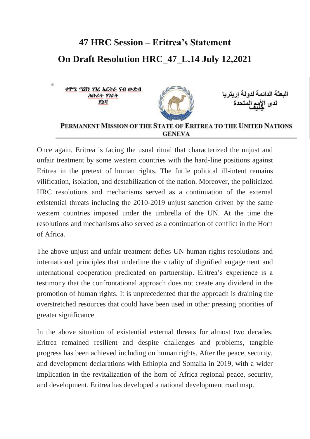## **47 HRC Session – Eritrea's Statement On Draft Resolution HRC\_47\_L.14 July 12,2021**

ቀዋሚ ሚሽን ሃገረ አርትራ ናብ ውድብ البعثة الدائمة لدولة ار بتر ، ሕቡራት ሃገራት ぴっぴ PERMANENT MISSION OF THE STATE OF ERITREA TO THE UNITED NATIONS **GENEVA** 

Once again, Eritrea is facing the usual ritual that characterized the unjust and unfair treatment by some western countries with the hard-line positions against Eritrea in the pretext of human rights. The futile political ill-intent remains vilification, isolation, and destabilization of the nation. Moreover, the politicized HRC resolutions and mechanisms served as a continuation of the external existential threats including the 2010-2019 unjust sanction driven by the same western countries imposed under the umbrella of the UN. At the time the resolutions and mechanisms also served as a continuation of conflict in the Horn of Africa.

The above unjust and unfair treatment defies UN human rights resolutions and international principles that underline the vitality of dignified engagement and international cooperation predicated on partnership. Eritrea's experience is a testimony that the confrontational approach does not create any dividend in the promotion of human rights. It is unprecedented that the approach is draining the overstretched resources that could have been used in other pressing priorities of greater significance.

In the above situation of existential external threats for almost two decades, Eritrea remained resilient and despite challenges and problems, tangible progress has been achieved including on human rights. After the peace, security, and development declarations with Ethiopia and Somalia in 2019, with a wider implication in the revitalization of the horn of Africa regional peace, security, and development, Eritrea has developed a national development road map.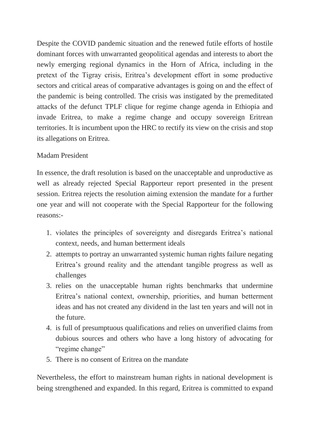Despite the COVID pandemic situation and the renewed futile efforts of hostile dominant forces with unwarranted geopolitical agendas and interests to abort the newly emerging regional dynamics in the Horn of Africa, including in the pretext of the Tigray crisis, Eritrea's development effort in some productive sectors and critical areas of comparative advantages is going on and the effect of the pandemic is being controlled. The crisis was instigated by the premeditated attacks of the defunct TPLF clique for regime change agenda in Ethiopia and invade Eritrea, to make a regime change and occupy sovereign Eritrean territories. It is incumbent upon the HRC to rectify its view on the crisis and stop its allegations on Eritrea.

## Madam President

In essence, the draft resolution is based on the unacceptable and unproductive as well as already rejected Special Rapporteur report presented in the present session. Eritrea rejects the resolution aiming extension the mandate for a further one year and will not cooperate with the Special Rapporteur for the following reasons:-

- 1. violates the principles of sovereignty and disregards Eritrea's national context, needs, and human betterment ideals
- 2. attempts to portray an unwarranted systemic human rights failure negating Eritrea's ground reality and the attendant tangible progress as well as challenges
- 3. relies on the unacceptable human rights benchmarks that undermine Eritrea's national context, ownership, priorities, and human betterment ideas and has not created any dividend in the last ten years and will not in the future.
- 4. is full of presumptuous qualifications and relies on unverified claims from dubious sources and others who have a long history of advocating for "regime change"
- 5. There is no consent of Eritrea on the mandate

Nevertheless, the effort to mainstream human rights in national development is being strengthened and expanded. In this regard, Eritrea is committed to expand